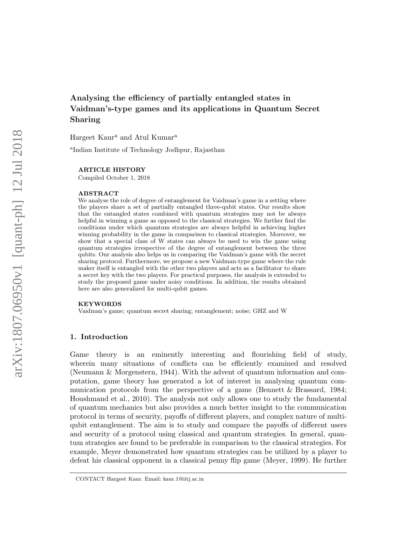# Analysing the efficiency of partially entangled states in Vaidman's-type games and its applications in Quantum Secret Sharing

Hargeet Kaur<sup>a</sup> and Atul Kumar<sup>a</sup>

a Indian Institute of Technology Jodhpur, Rajasthan

### ARTICLE HISTORY

Compiled October 1, 2018

#### ABSTRACT

We analyse the role of degree of entanglement for Vaidman's game in a setting where the players share a set of partially entangled three-qubit states. Our results show that the entangled states combined with quantum strategies may not be always helpful in winning a game as opposed to the classical strategies. We further find the conditions under which quantum strategies are always helpful in achieving higher winning probability in the game in comparison to classical strategies. Moreover, we show that a special class of W states can always be used to win the game using quantum strategies irrespective of the degree of entanglement between the three qubits. Our analysis also helps us in comparing the Vaidman's game with the secret sharing protocol. Furthermore, we propose a new Vaidman-type game where the rule maker itself is entangled with the other two players and acts as a facilitator to share a secret key with the two players. For practical purposes, the analysis is extended to study the proposed game under noisy conditions. In addition, the results obtained here are also generalized for multi-qubit games.

#### KEYWORDS

Vaidman's game; quantum secret sharing; entanglement; noise; GHZ and W

# 1. Introduction

Game theory is an eminently interesting and flourishing field of study, wherein many situations of conflicts can be efficiently examined and resolved (Neumann & Morgenstern, 1944). With the advent of quantum information and computation, game theory has generated a lot of interest in analysing quantum communication protocols from the perspective of a game (Bennett & Brassard, 1984; Houshmand et al., 2010). The analysis not only allows one to study the fundamental of quantum mechanics but also provides a much better insight to the communication protocol in terms of security, payoffs of different players, and complex nature of multiqubit entanglement. The aim is to study and compare the payoffs of different users and security of a protocol using classical and quantum strategies. In general, quantum strategies are found to be preferable in comparison to the classical strategies. For example, Meyer demonstrated how quantum strategies can be utilized by a player to defeat his classical opponent in a classical penny flip game (Meyer, 1999). He further

CONTACT Hargeet Kaur. Email: kaur.1@iitj.ac.in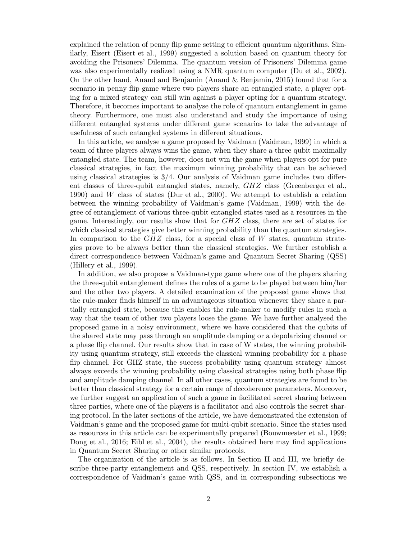explained the relation of penny flip game setting to efficient quantum algorithms. Similarly, Eisert (Eisert et al., 1999) suggested a solution based on quantum theory for avoiding the Prisoners' Dilemma. The quantum version of Prisoners' Dilemma game was also experimentally realized using a NMR quantum computer (Du et al., 2002). On the other hand, Anand and Benjamin (Anand & Benjamin, 2015) found that for a scenario in penny flip game where two players share an entangled state, a player opting for a mixed strategy can still win against a player opting for a quantum strategy. Therefore, it becomes important to analyse the role of quantum entanglement in game theory. Furthermore, one must also understand and study the importance of using different entangled systems under different game scenarios to take the advantage of usefulness of such entangled systems in different situations.

In this article, we analyse a game proposed by Vaidman (Vaidman, 1999) in which a team of three players always wins the game, when they share a three qubit maximally entangled state. The team, however, does not win the game when players opt for pure classical strategies, in fact the maximum winning probability that can be achieved using classical strategies is 3/4. Our analysis of Vaidman game includes two different classes of three-qubit entangled states, namely, GHZ class (Greenberger et al., 1990) and  $W$  class of states (Dur et al., 2000). We attempt to establish a relation between the winning probability of Vaidman's game (Vaidman, 1999) with the degree of entanglement of various three-qubit entangled states used as a resources in the game. Interestingly, our results show that for GHZ class, there are set of states for which classical strategies give better winning probability than the quantum strategies. In comparison to the  $GHZ$  class, for a special class of W states, quantum strategies prove to be always better than the classical strategies. We further establish a direct correspondence between Vaidman's game and Quantum Secret Sharing (QSS) (Hillery et al., 1999).

In addition, we also propose a Vaidman-type game where one of the players sharing the three-qubit entanglement defines the rules of a game to be played between him/her and the other two players. A detailed examination of the proposed game shows that the rule-maker finds himself in an advantageous situation whenever they share a partially entangled state, because this enables the rule-maker to modify rules in such a way that the team of other two players loose the game. We have further analysed the proposed game in a noisy environment, where we have considered that the qubits of the shared state may pass through an amplitude damping or a depolarizing channel or a phase flip channel. Our results show that in case of W states, the winning probability using quantum strategy, still exceeds the classical winning probability for a phase flip channel. For GHZ state, the success probability using quantum strategy almost always exceeds the winning probability using classical strategies using both phase flip and amplitude damping channel. In all other cases, quantum strategies are found to be better than classical strategy for a certain range of decoherence parameters. Moreover, we further suggest an application of such a game in facilitated secret sharing between three parties, where one of the players is a facilitator and also controls the secret sharing protocol. In the later sections of the article, we have demonstrated the extension of Vaidman's game and the proposed game for multi-qubit scenario. Since the states used as resources in this article can be experimentally prepared (Bouwmeester et al., 1999; Dong et al., 2016; Eibl et al., 2004), the results obtained here may find applications in Quantum Secret Sharing or other similar protocols.

The organization of the article is as follows. In Section II and III, we briefly describe three-party entanglement and QSS, respectively. In section IV, we establish a correspondence of Vaidman's game with QSS, and in corresponding subsections we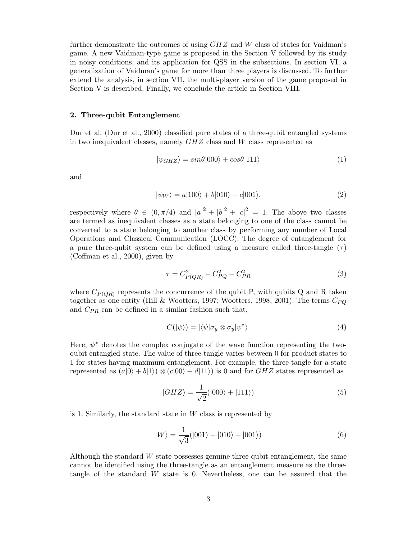further demonstrate the outcomes of using  $GHZ$  and W class of states for Vaidman's game. A new Vaidman-type game is proposed in the Section V followed by its study in noisy conditions, and its application for QSS in the subsections. In section VI, a generalization of Vaidman's game for more than three players is discussed. To further extend the analysis, in section VII, the multi-player version of the game proposed in Section V is described. Finally, we conclude the article in Section VIII.

#### 2. Three-qubit Entanglement

Dur et al. (Dur et al., 2000) classified pure states of a three-qubit entangled systems in two inequivalent classes, namely GHZ class and W class represented as

$$
|\psi_{GHZ}\rangle = sin\theta|000\rangle + cos\theta|111\rangle \tag{1}
$$

and

$$
|\psi_W\rangle = a|100\rangle + b|010\rangle + c|001\rangle, \tag{2}
$$

respectively where  $\theta \in (0, \pi/4)$  and  $|a|^2 + |b|^2 + |c|^2 = 1$ . The above two classes are termed as inequivalent classes as a state belonging to one of the class cannot be converted to a state belonging to another class by performing any number of Local Operations and Classical Communication (LOCC). The degree of entanglement for a pure three-qubit system can be defined using a measure called three-tangle  $(\tau)$ (Coffman et al., 2000), given by

$$
\tau = C_{P(QR)}^2 - C_{PQ}^2 - C_{PR}^2 \tag{3}
$$

where  $C_{P(QR)}$  represents the concurrence of the qubit P, with qubits Q and R taken together as one entity (Hill & Wootters, 1997; Wootters, 1998, 2001). The terms  $C_{PQ}$ and  $C_{PR}$  can be defined in a similar fashion such that,

$$
C(|\psi\rangle) = |\langle \psi | \sigma_y \otimes \sigma_y | \psi^* \rangle| \tag{4}
$$

Here,  $\psi^*$  denotes the complex conjugate of the wave function representing the twoqubit entangled state. The value of three-tangle varies between 0 for product states to 1 for states having maximum entanglement. For example, the three-tangle for a state represented as  $(a|0\rangle + b|1\rangle) \otimes (c|00\rangle + d|11\rangle)$  is 0 and for *GHZ* states represented as

$$
|GHZ\rangle = \frac{1}{\sqrt{2}}(|000\rangle + |111\rangle)
$$
\n(5)

is 1. Similarly, the standard state in  $W$  class is represented by

$$
|W\rangle = \frac{1}{\sqrt{3}}(|001\rangle + |010\rangle + |001\rangle)
$$
 (6)

Although the standard  $W$  state possesses genuine three-qubit entanglement, the same cannot be identified using the three-tangle as an entanglement measure as the threetangle of the standard W state is 0. Nevertheless, one can be assured that the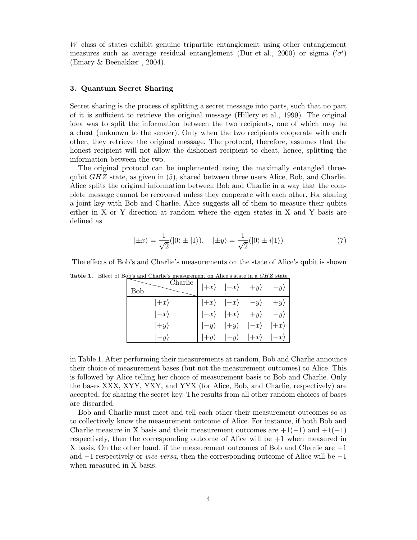W class of states exhibit genuine tripartite entanglement using other entanglement measures such as average residual entanglement (Dur et al., 2000) or sigma  $(\sigma')$ (Emary & Beenakker , 2004).

### 3. Quantum Secret Sharing

Secret sharing is the process of splitting a secret message into parts, such that no part of it is sufficient to retrieve the original message (Hillery et al., 1999). The original idea was to split the information between the two recipients, one of which may be a cheat (unknown to the sender). Only when the two recipients cooperate with each other, they retrieve the original message. The protocol, therefore, assumes that the honest recipient will not allow the dishonest recipient to cheat, hence, splitting the information between the two.

The original protocol can be implemented using the maximally entangled threequbit  $GHZ$  state, as given in  $(5)$ , shared between three users Alice, Bob, and Charlie. Alice splits the original information between Bob and Charlie in a way that the complete message cannot be recovered unless they cooperate with each other. For sharing a joint key with Bob and Charlie, Alice suggests all of them to measure their qubits either in X or Y direction at random where the eigen states in X and Y basis are defined as

$$
|\pm x\rangle = \frac{1}{\sqrt{2}}(|0\rangle \pm |1\rangle), \quad |\pm y\rangle = \frac{1}{\sqrt{2}}(|0\rangle \pm i|1\rangle)
$$
 (7)

The effects of Bob's and Charlie's measurements on the state of Alice's qubit is shown

|  |     | <b>Table 1.</b> Effect of Bob's and Charlie's measurement on Alice's state in a GHZ state                                                               |                                                                                                                                                                                                                                                                                                                                                                                                                                                                         |  |  |
|--|-----|---------------------------------------------------------------------------------------------------------------------------------------------------------|-------------------------------------------------------------------------------------------------------------------------------------------------------------------------------------------------------------------------------------------------------------------------------------------------------------------------------------------------------------------------------------------------------------------------------------------------------------------------|--|--|
|  | Bob | $\overline{\text{Charlie}}$ $\begin{array}{ c c c c c c c c } \hline \text{Charlie} & \text{+x} & \text{+x} & \text{+y} & \text{+y} \hline \end{array}$ |                                                                                                                                                                                                                                                                                                                                                                                                                                                                         |  |  |
|  |     | $\ket{+x}$                                                                                                                                              | $\begin{array}{ l } \hline \left +x\right\rangle & \left -x\right\rangle & \left -y\right\rangle & \left +y\right\rangle \\ \hline \left -x\right\rangle & \left +x\right\rangle & \left +y\right\rangle & \left -y\right\rangle \\ \hline \left -y\right\rangle & \left +y\right\rangle & \left -x\right\rangle & \left +x\right\rangle \\ \hline \left +y\right\rangle & \left -y\right\rangle & \left +x\right\rangle & \left -x\right\rangle \\ \hline \end{array}$ |  |  |
|  |     | $ -x\rangle$                                                                                                                                            |                                                                                                                                                                                                                                                                                                                                                                                                                                                                         |  |  |
|  |     | $ +y\rangle$                                                                                                                                            |                                                                                                                                                                                                                                                                                                                                                                                                                                                                         |  |  |
|  |     | $-v$                                                                                                                                                    |                                                                                                                                                                                                                                                                                                                                                                                                                                                                         |  |  |

in Table 1. After performing their measurements at random, Bob and Charlie announce their choice of measurement bases (but not the measurement outcomes) to Alice. This is followed by Alice telling her choice of measurement basis to Bob and Charlie. Only the bases XXX, XYY, YXY, and YYX (for Alice, Bob, and Charlie, respectively) are accepted, for sharing the secret key. The results from all other random choices of bases are discarded.

Bob and Charlie must meet and tell each other their measurement outcomes so as to collectively know the measurement outcome of Alice. For instance, if both Bob and Charlie measure in X basis and their measurement outcomes are  $+1(-1)$  and  $+1(-1)$ respectively, then the corresponding outcome of Alice will be  $+1$  when measured in X basis. On the other hand, if the measurement outcomes of Bob and Charlie are +1 and  $-1$  respectively or *vice-versa*, then the corresponding outcome of Alice will be  $-1$ when measured in X basis.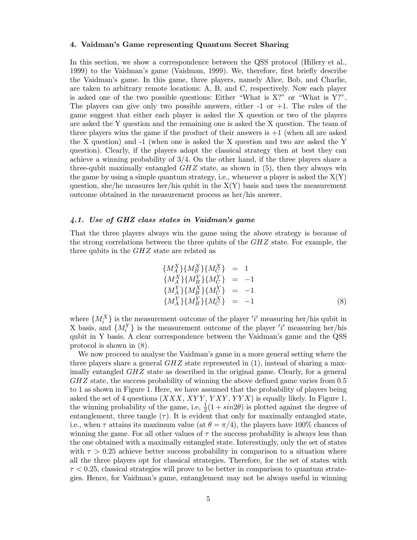### 4. Vaidman's Game representing Quantum Secret Sharing

In this section, we show a correspondence between the QSS protocol (Hillery et al., 1999) to the Vaidman's game (Vaidman, 1999). We, therefore, first briefly describe the Vaidman's game. In this game, three players, namely Alice, Bob, and Charlie, are taken to arbitrary remote locations: A, B, and C, respectively. Now each player is asked one of the two possible questions: Either "What is X?" or "What is Y?". The players can give only two possible answers, either  $-1$  or  $+1$ . The rules of the game suggest that either each player is asked the X question or two of the players are asked the Y question and the remaining one is asked the X question. The team of three players wins the game if the product of their answers is  $+1$  (when all are asked the X question) and -1 (when one is asked the X question and two are asked the Y question). Clearly, if the players adopt the classical strategy then at best they can achieve a winning probability of 3/4. On the other hand, if the three players share a three-qubit maximally entangled  $GHZ$  state, as shown in (5), then they always win the game by using a simple quantum strategy, i.e., whenever a player is asked the  $X(Y)$ question, she/he measures her/his qubit in the  $X(Y)$  basis and uses the measurement outcome obtained in the measurement process as her/his answer.

## 4.1. Use of GHZ class states in Vaidman's game

That the three players always win the game using the above strategy is because of the strong correlations between the three qubits of the GHZ state. For example, the three qubits in the GHZ state are related as

$$
\{M_A^X\}\{M_B^X\}\{M_C^X\} = 1
$$
  
\n
$$
\{M_A^X\}\{M_B^Y\}\{M_C^Y\} = -1
$$
  
\n
$$
\{M_A^X\}\{M_B^X\}\{M_C^Y\} = -1
$$
  
\n
$$
\{M_A^Y\}\{M_B^Y\}\{M_C^X\} = -1
$$
  
\n(8)

where  $\{M_i^X\}$  is the measurement outcome of the player 'i' measuring her/his qubit in X basis, and  $\{M_i^Y\}$  is the measurement outcome of the player 'i' measuring her/his qubit in Y basis. A clear correspondence between the Vaidman's game and the QSS protocol is shown in (8).

We now proceed to analyse the Vaidman's game in a more general setting where the three players share a general  $GHZ$  state represented in  $(1)$ , instead of sharing a maximally entangled GHZ state as described in the original game. Clearly, for a general GHZ state, the success probability of winning the above defined game varies from 0.5 to 1 as shown in Figure 1. Here, we have assumed that the probability of players being asked the set of 4 questions  $(XXX, XYY, YXY, YYX)$  is equally likely. In Figure 1, the winning probability of the game, i.e,  $\frac{1}{2}(1 + \sin 2\theta)$  is plotted against the degree of entanglement, three tangle  $(\tau)$ . It is evident that only for maximally entangled state, i.e., when  $\tau$  attains its maximum value (at  $\theta = \pi/4$ ), the players have 100% chances of winning the game. For all other values of  $\tau$  the success probability is always less than the one obtained with a maximally entangled state. Interestingly, only the set of states with  $\tau > 0.25$  achieve better success probability in comparison to a situation where all the three players opt for classical strategies. Therefore, for the set of states with  $\tau < 0.25$ , classical strategies will prove to be better in comparison to quantum strategies. Hence, for Vaidman's game, entanglement may not be always useful in winning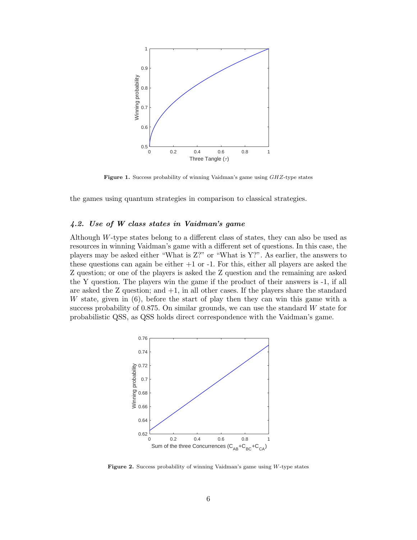

Figure 1. Success probability of winning Vaidman's game using GHZ-type states

the games using quantum strategies in comparison to classical strategies.

# 4.2. Use of W class states in Vaidman's game

Although W-type states belong to a different class of states, they can also be used as resources in winning Vaidman's game with a different set of questions. In this case, the players may be asked either "What is Z?" or "What is Y?". As earlier, the answers to these questions can again be either  $+1$  or  $-1$ . For this, either all players are asked the Z question; or one of the players is asked the Z question and the remaining are asked the Y question. The players win the game if the product of their answers is -1, if all are asked the  $Z$  question; and  $+1$ , in all other cases. If the players share the standard W state, given in (6), before the start of play then they can win this game with a success probability of 0.875. On similar grounds, we can use the standard W state for probabilistic QSS, as QSS holds direct correspondence with the Vaidman's game.



Figure 2. Success probability of winning Vaidman's game using W-type states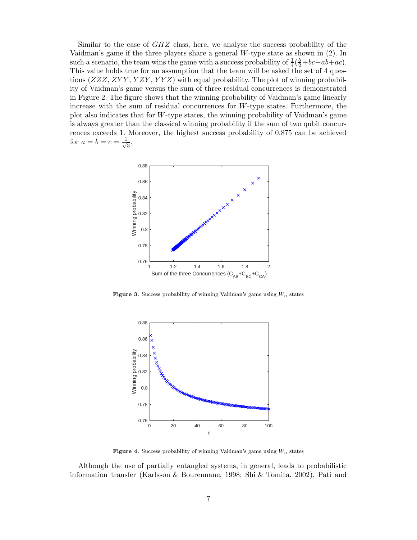Similar to the case of GHZ class, here, we analyse the success probability of the Vaidman's game if the three players share a general  $W$ -type state as shown in  $(2)$ . In such a scenario, the team wins the game with a success probability of  $\frac{1}{4}(\frac{5}{2}+bc+ab+ac)$ . This value holds true for an assumption that the team will be asked the set of 4 questions  $(ZZZ, ZYY, YZY, YYZ)$  with equal probability. The plot of winning probability of Vaidman's game versus the sum of three residual concurrences is demonstrated in Figure 2. The figure shows that the winning probability of Vaidman's game linearly increase with the sum of residual concurrences for  $W$ -type states. Furthermore, the plot also indicates that for W-type states, the winning probability of Vaidman's game is always greater than the classical winning probability if the sum of two qubit concurrences exceeds 1. Moreover, the highest success probability of 0.875 can be achieved for  $a = b = c = \frac{1}{\sqrt{2}}$  $\overline{3}$ .



Figure 3. Success probability of winning Vaidman's game using  $W_n$  states



Figure 4. Success probability of winning Vaidman's game using  $W_n$  states

Although the use of partially entangled systems, in general, leads to probabilistic information transfer (Karlsson & Bourennane, 1998; Shi & Tomita, 2002), Pati and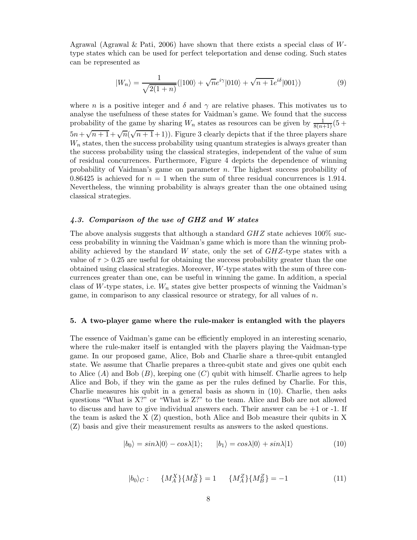Agrawal (Agrawal & Pati, 2006) have shown that there exists a special class of  $W$ type states which can be used for perfect teleportation and dense coding. Such states can be represented as

$$
|W_n\rangle = \frac{1}{\sqrt{2(1+n)}}(|100\rangle + \sqrt{n}e^{i\gamma}|010\rangle + \sqrt{n+1}e^{i\delta}|001\rangle)
$$
 (9)

where n is a positive integer and  $\delta$  and  $\gamma$  are relative phases. This motivates us to analyse the usefulness of these states for Vaidman's game. We found that the success probability of the game by sharing  $W_n$  states as resources can be given by  $\frac{1}{8(n+1)}(5 +$  $5n + \sqrt{n+1} + \sqrt{n}(\sqrt{n+1}+1)$ . Figure 3 clearly depicts that if the three players share  $W_n$  states, then the success probability using quantum strategies is always greater than the success probability using the classical strategies, independent of the value of sum of residual concurrences. Furthermore, Figure 4 depicts the dependence of winning probability of Vaidman's game on parameter n. The highest success probability of 0.86425 is achieved for  $n = 1$  when the sum of three residual concurrences is 1.914. Nevertheless, the winning probability is always greater than the one obtained using classical strategies.

### 4.3. Comparison of the use of GHZ and W states

The above analysis suggests that although a standard  $GHZ$  state achieves 100% success probability in winning the Vaidman's game which is more than the winning probability achieved by the standard  $W$  state, only the set of  $GHZ$ -type states with a value of  $\tau > 0.25$  are useful for obtaining the success probability greater than the one obtained using classical strategies. Moreover, W-type states with the sum of three concurrences greater than one, can be useful in winning the game. In addition, a special class of W-type states, i.e.  $W_n$  states give better prospects of winning the Vaidman's game, in comparison to any classical resource or strategy, for all values of  $n$ .

### 5. A two-player game where the rule-maker is entangled with the players

The essence of Vaidman's game can be efficiently employed in an interesting scenario, where the rule-maker itself is entangled with the players playing the Vaidman-type game. In our proposed game, Alice, Bob and Charlie share a three-qubit entangled state. We assume that Charlie prepares a three-qubit state and gives one qubit each to Alice  $(A)$  and Bob  $(B)$ , keeping one  $(C)$  qubit with himself. Charlie agrees to help Alice and Bob, if they win the game as per the rules defined by Charlie. For this, Charlie measures his qubit in a general basis as shown in (10). Charlie, then asks questions "What is X?" or "What is Z?" to the team. Alice and Bob are not allowed to discuss and have to give individual answers each. Their answer can be  $+1$  or  $-1$ . If the team is asked the  $X(Z)$  question, both Alice and Bob measure their qubits in X (Z) basis and give their measurement results as answers to the asked questions.

$$
|b_0\rangle = \sin\lambda|0\rangle - \cos\lambda|1\rangle; \qquad |b_1\rangle = \cos\lambda|0\rangle + \sin\lambda|1\rangle \tag{10}
$$

$$
|b_0\rangle_C: \quad \{M_A^X\}\{M_B^X\} = 1 \quad \{M_A^Z\}\{M_B^Z\} = -1 \tag{11}
$$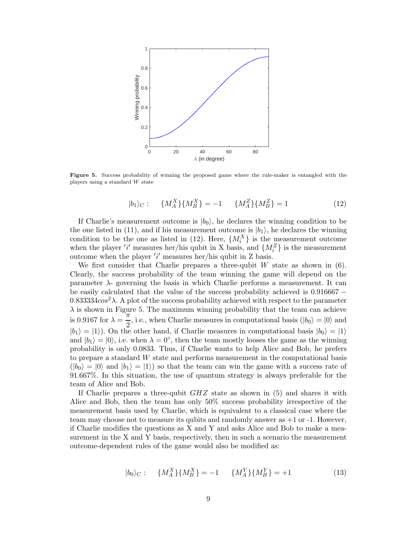

Figure 5. Success probability of winning the proposed game where the rule-maker is entangled with the players using a standard W state

$$
|b_1\rangle_C: \quad \{M_A^X\}\{M_B^X\} = -1 \quad \{M_A^Z\}\{M_B^Z\} = 1 \tag{12}
$$

If Charlie's measurement outcome is  $|b_0\rangle$ , he declares the winning condition to be the one listed in (11), and if his measurement outcome is  $|b_1\rangle$ , he declares the winning condition to be the one as listed in (12). Here,  $\{M_i^X\}$  is the measurement outcome when the player 'i' measures her/his qubit in X basis, and  $\{M_i^Z\}$  is the measurement outcome when the player  $'i'$  measures her/his qubit in Z basis.

We first consider that Charlie prepares a three-qubit W state as shown in  $(6)$ . Clearly, the success probability of the team winning the game will depend on the parameter  $\lambda$ - governing the basis in which Charlie performs a measurement. It can be easily calculated that the value of the success probability achieved is 0.916667 −  $0.833334\cos^2\lambda$ . A plot of the success probability achieved with respect to the parameter  $\lambda$  is shown in Figure 5. The maximum winning probability that the team can achieve is 0.9167 for  $\lambda = \frac{\pi}{2}$  $\frac{\pi}{2}$ , i.e., when Charlie measures in computational basis ( $|b_0\rangle = |0\rangle$  and  $|b_1\rangle = |1\rangle$ ). On the other hand, if Charlie measures in computational basis  $|b_0\rangle = |1\rangle$ and  $|b_1\rangle = |0\rangle$ , i.e. when  $\lambda = 0^\circ$ , then the team mostly looses the game as the winning probability is only 0.0833. Thus, if Charlie wants to help Alice and Bob, he prefers to prepare a standard W state and performs measurement in the computational basis  $(|b_0\rangle = |0\rangle$  and  $|b_1\rangle = |1\rangle$  so that the team can win the game with a success rate of 91.667%. In this situation, the use of quantum strategy is always preferable for the team of Alice and Bob.

If Charlie prepares a three-qubit  $GHZ$  state as shown in  $(5)$  and shares it with Alice and Bob, then the team has only 50% success probability irrespective of the measurement basis used by Charlie, which is equivalent to a classical case where the team may choose not to measure its qubits and randomly answer as +1 or -1. However, if Charlie modifies the questions as X and Y and asks Alice and Bob to make a measurement in the X and Y basis, respectively, then in such a scenario the measurement outcome-dependent rules of the game would also be modified as:

$$
|b_0\rangle_C: \quad \{M_A^X\}\{M_B^X\} = -1 \quad \{M_A^Y\}\{M_B^Y\} = +1 \tag{13}
$$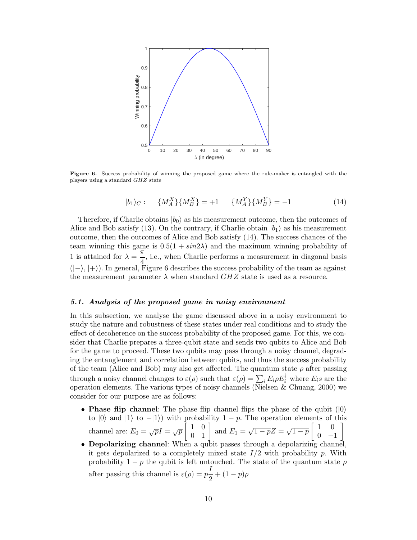

Figure 6. Success probability of winning the proposed game where the rule-maker is entangled with the players using a standard GHZ state

$$
|b_1\rangle_C: \quad \{M_A^X\}\{M_B^X\} = +1 \quad \{M_A^Y\}\{M_B^Y\} = -1 \tag{14}
$$

Therefore, if Charlie obtains  $|b_0\rangle$  as his measurement outcome, then the outcomes of Alice and Bob satisfy (13). On the contrary, if Charlie obtain  $|b_1\rangle$  as his measurement outcome, then the outcomes of Alice and Bob satisfy (14). The success chances of the team winning this game is  $0.5(1 + sin2\lambda)$  and the maximum winning probability of 1 is attained for  $\lambda = \frac{\pi}{4}$  $\frac{1}{4}$ , i.e., when Charlie performs a measurement in diagonal basis  $(|-\rangle, |+\rangle)$ . In general, Figure 6 describes the success probability of the team as against the measurement parameter  $\lambda$  when standard  $GHZ$  state is used as a resource.

### 5.1. Analysis of the proposed game in noisy environment

In this subsection, we analyse the game discussed above in a noisy environment to study the nature and robustness of these states under real conditions and to study the effect of decoherence on the success probability of the proposed game. For this, we consider that Charlie prepares a three-qubit state and sends two qubits to Alice and Bob for the game to proceed. These two qubits may pass through a noisy channel, degrading the entanglement and correlation between qubits, and thus the success probability of the team (Alice and Bob) may also get affected. The quantum state  $\rho$  after passing through a noisy channel changes to  $\varepsilon(\rho)$  such that  $\varepsilon(\rho) = \sum_i E_i \rho E_i^{\dagger}$  where  $E_i s$  are the operation elements. The various types of noisy channels (Nielsen & Chuang, 2000) we consider for our purpose are as follows:

- Phase flip channel: The phase flip channel flips the phase of the qubit  $(|0\rangle)$ to  $|0\rangle$  and  $|1\rangle$  to  $-|1\rangle$ ) with probability  $1 - p$ . The operation elements of this channel are:  $E_0 = \sqrt{p}I = \sqrt{p} \begin{bmatrix} 1 & 0 \\ 0 & 1 \end{bmatrix}$  and  $E_1 = \sqrt{1-p}Z = \sqrt{1-p} \begin{bmatrix} 1 & 0 \\ 0 & -1 \end{bmatrix}$  $0 -1$ 1
- Depolarizing channel: When a qubit passes through a depolarizing channel, it gets depolarized to a completely mixed state  $I/2$  with probability p. With probability  $1 - p$  the qubit is left untouched. The state of the quantum state  $\rho$ after passing this channel is  $\varepsilon(\rho) = p \frac{I}{2}$  $\frac{1}{2} + (1-p)\rho$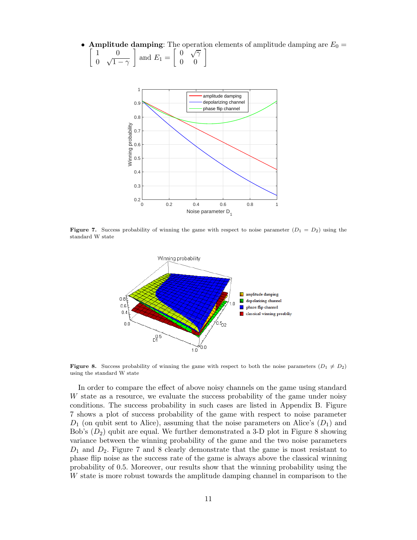• **Amplitude damping**: The operation elements of amplitude damping are  $E_0 = \begin{bmatrix} 1 & 0 \end{bmatrix}$ 

$$
\left[\begin{array}{cc} 1 & 0 \\ 0 & \sqrt{1-\gamma} \end{array}\right] \text{ and } E_1 = \left[\begin{array}{cc} 0 & \sqrt{\gamma} \\ 0 & 0 \end{array}\right]
$$



**Figure 7.** Success probability of winning the game with respect to noise parameter  $(D_1 = D_2)$  using the standard W state



**Figure 8.** Success probability of winning the game with respect to both the noise parameters  $(D_1 \neq D_2)$ using the standard W state

In order to compare the effect of above noisy channels on the game using standard W state as a resource, we evaluate the success probability of the game under noisy conditions. The success probability in such cases are listed in Appendix B. Figure 7 shows a plot of success probability of the game with respect to noise parameter  $D_1$  (on qubit sent to Alice), assuming that the noise parameters on Alice's  $(D_1)$  and Bob's  $(D_2)$  qubit are equal. We further demonstrated a 3-D plot in Figure 8 showing variance between the winning probability of the game and the two noise parameters  $D_1$  and  $D_2$ . Figure 7 and 8 clearly demonstrate that the game is most resistant to phase flip noise as the success rate of the game is always above the classical winning probability of 0.5. Moreover, our results show that the winning probability using the W state is more robust towards the amplitude damping channel in comparison to the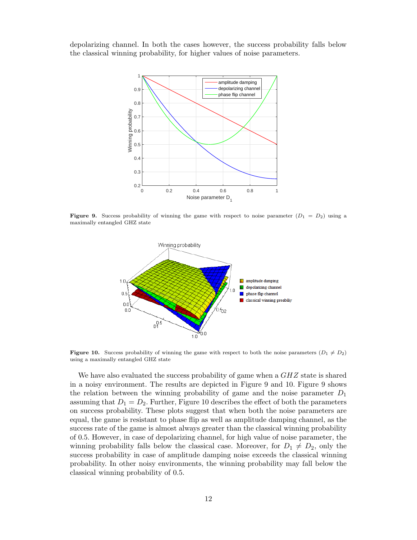depolarizing channel. In both the cases however, the success probability falls below the classical winning probability, for higher values of noise parameters.



**Figure 9.** Success probability of winning the game with respect to noise parameter  $(D_1 = D_2)$  using a maximally entangled GHZ state



**Figure 10.** Success probability of winning the game with respect to both the noise parameters  $(D_1 \neq D_2)$ using a maximally entangled GHZ state

We have also evaluated the success probability of game when a  $GHZ$  state is shared in a noisy environment. The results are depicted in Figure 9 and 10. Figure 9 shows the relation between the winning probability of game and the noise parameter  $D_1$ assuming that  $D_1 = D_2$ . Further, Figure 10 describes the effect of both the parameters on success probability. These plots suggest that when both the noise parameters are equal, the game is resistant to phase flip as well as amplitude damping channel, as the success rate of the game is almost always greater than the classical winning probability of 0.5. However, in case of depolarizing channel, for high value of noise parameter, the winning probability falls below the classical case. Moreover, for  $D_1 \neq D_2$ , only the success probability in case of amplitude damping noise exceeds the classical winning probability. In other noisy environments, the winning probability may fall below the classical winning probability of 0.5.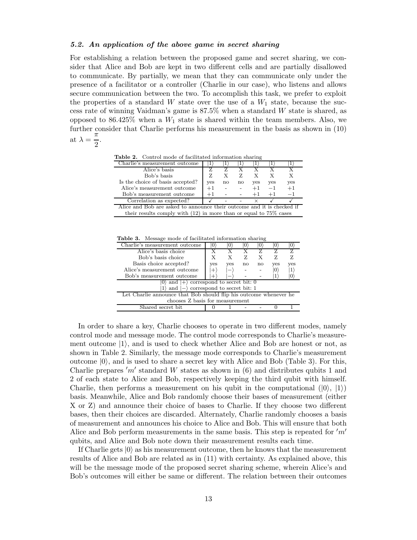### 5.2. An application of the above game in secret sharing

For establishing a relation between the proposed game and secret sharing, we consider that Alice and Bob are kept in two different cells and are partially disallowed to communicate. By partially, we mean that they can communicate only under the presence of a facilitator or a controller (Charlie in our case), who listens and allows secure communication between the two. To accomplish this task, we prefer to exploit the properties of a standard W state over the use of a  $W_1$  state, because the success rate of winning Vaidman's game is 87.5% when a standard W state is shared, as opposed to 86.425% when a  $W_1$  state is shared within the team members. Also, we further consider that Charlie performs his measurement in the basis as shown in (10) at  $\lambda = \frac{\pi}{2}$  $\frac{1}{2}$ .

Table 2. Control mode of facilitated information sharing

| Charlie's measurement outcome                                          |      |    |    |          |      |      |
|------------------------------------------------------------------------|------|----|----|----------|------|------|
| Alice's basis                                                          |      |    |    |          |      |      |
| Bob's basis                                                            | Z    |    |    | X        |      | X    |
| Is the choice of basis accepted?                                       | yes  | no | no | yes      | yes  | yes  |
| Alice's measurement outcome                                            | $+1$ |    |    | $+1$     | $-1$ | $+1$ |
| Bob's measurement outcome                                              | $+1$ |    |    | $+1$     | $+1$ | $-1$ |
| Correlation as expected?                                               |      |    |    | $\times$ |      |      |
| Alice and Bob are asked to announce their outcome and it is checked if |      |    |    |          |      |      |

their results comply with (12) in more than or equal to 75% cases

Table 3. Message mode of facilitated information sharing

| Charlie's measurement outcome                                     |     | 0   |              |              |     |     |
|-------------------------------------------------------------------|-----|-----|--------------|--------------|-----|-----|
| Alice's basis choice                                              |     |     |              |              |     |     |
| Bob's basis choice                                                | X   | Х   |              | X            |     |     |
| Basis choice accepted?                                            | ves | yes | $\mathbf{n}$ | $\mathbf{n}$ | yes | yes |
| Alice's measurement outcome                                       |     |     |              |              |     |     |
| Bob's measurement outcome                                         |     |     |              |              |     |     |
| $ 0\rangle$ and $ +\rangle$ correspond to secret bit: 0           |     |     |              |              |     |     |
| and $ -\rangle$ correspond to secret bit: 1                       |     |     |              |              |     |     |
| Let Charlie announce that Bob should flip his outcome whenever he |     |     |              |              |     |     |
| chooses Z basis for measurement                                   |     |     |              |              |     |     |
| Shared secret bit                                                 |     |     |              |              |     |     |

In order to share a key, Charlie chooses to operate in two different modes, namely control mode and message mode. The control mode corresponds to Charlie's measurement outcome  $|1\rangle$ , and is used to check whether Alice and Bob are honest or not, as shown in Table 2. Similarly, the message mode corresponds to Charlie's measurement outcome  $|0\rangle$ , and is used to share a secret key with Alice and Bob (Table 3). For this, Charlie prepares  $'m'$  standard W states as shown in  $(6)$  and distributes qubits 1 and 2 of each state to Alice and Bob, respectively keeping the third qubit with himself. Charlie, then performs a measurement on his qubit in the computational  $(|0\rangle, |1\rangle)$ basis. Meanwhile, Alice and Bob randomly choose their bases of measurement (either X or Z) and announce their choice of bases to Charlie. If they choose two different bases, then their choices are discarded. Alternately, Charlie randomly chooses a basis of measurement and announces his choice to Alice and Bob. This will ensure that both Alice and Bob perform measurements in the same basis. This step is repeated for  $'m'$ qubits, and Alice and Bob note down their measurement results each time.

If Charlie gets  $|0\rangle$  as his measurement outcome, then he knows that the measurement results of Alice and Bob are related as in (11) with certainty. As explained above, this will be the message mode of the proposed secret sharing scheme, wherein Alice's and Bob's outcomes will either be same or different. The relation between their outcomes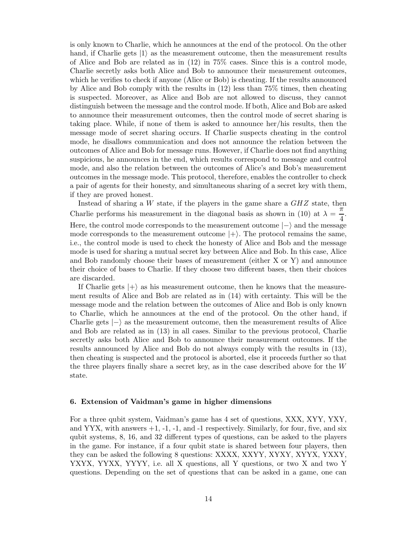is only known to Charlie, which he announces at the end of the protocol. On the other hand, if Charlie gets  $|1\rangle$  as the measurement outcome, then the measurement results of Alice and Bob are related as in (12) in 75% cases. Since this is a control mode, Charlie secretly asks both Alice and Bob to announce their measurement outcomes, which he verifies to check if anyone (Alice or Bob) is cheating. If the results announced by Alice and Bob comply with the results in (12) less than 75% times, then cheating is suspected. Moreover, as Alice and Bob are not allowed to discuss, they cannot distinguish between the message and the control mode. If both, Alice and Bob are asked to announce their measurement outcomes, then the control mode of secret sharing is taking place. While, if none of them is asked to announce her/his results, then the message mode of secret sharing occurs. If Charlie suspects cheating in the control mode, he disallows communication and does not announce the relation between the outcomes of Alice and Bob for message runs. However, if Charlie does not find anything suspicious, he announces in the end, which results correspond to message and control mode, and also the relation between the outcomes of Alice's and Bob's measurement outcomes in the message mode. This protocol, therefore, enables the controller to check a pair of agents for their honesty, and simultaneous sharing of a secret key with them, if they are proved honest.

Instead of sharing a  $W$  state, if the players in the game share a  $GHZ$  state, then Charlie performs his measurement in the diagonal basis as shown in (10) at  $\lambda = \frac{\pi}{4}$  $\frac{1}{4}$ . Here, the control mode corresponds to the measurement outcome  $|-\rangle$  and the message mode corresponds to the measurement outcome  $|+\rangle$ . The protocol remains the same. i.e., the control mode is used to check the honesty of Alice and Bob and the message mode is used for sharing a mutual secret key between Alice and Bob. In this case, Alice and Bob randomly choose their bases of measurement (either X or Y) and announce their choice of bases to Charlie. If they choose two different bases, then their choices are discarded.

If Charlie gets  $|+\rangle$  as his measurement outcome, then he knows that the measurement results of Alice and Bob are related as in (14) with certainty. This will be the message mode and the relation between the outcomes of Alice and Bob is only known to Charlie, which he announces at the end of the protocol. On the other hand, if Charlie gets  $\ket{-}$  as the measurement outcome, then the measurement results of Alice and Bob are related as in (13) in all cases. Similar to the previous protocol, Charlie secretly asks both Alice and Bob to announce their measurement outcomes. If the results announced by Alice and Bob do not always comply with the results in (13), then cheating is suspected and the protocol is aborted, else it proceeds further so that the three players finally share a secret key, as in the case described above for the W state.

# 6. Extension of Vaidman's game in higher dimensions

For a three qubit system, Vaidman's game has 4 set of questions, XXX, XYY, YXY, and YYX, with answers  $+1$ ,  $-1$ ,  $-1$ , and  $-1$  respectively. Similarly, for four, five, and six qubit systems, 8, 16, and 32 different types of questions, can be asked to the players in the game. For instance, if a four qubit state is shared between four players, then they can be asked the following 8 questions: XXXX, XXYY, XYXY, XYYX, YXXY, YXYX, YYXX, YYYY, i.e. all X questions, all Y questions, or two X and two Y questions. Depending on the set of questions that can be asked in a game, one can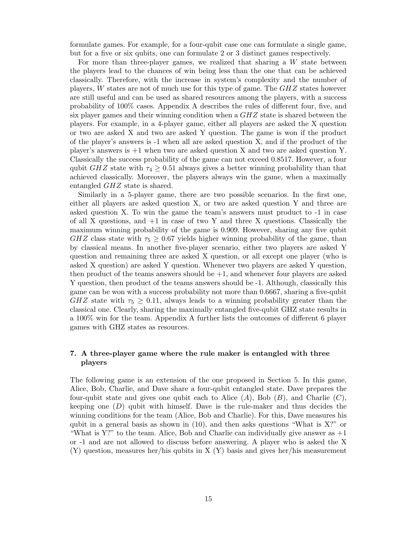formulate games. For example, for a four-qubit case one can formulate a single game, but for a five or six qubits, one can formulate 2 or 3 distinct games respectively.

For more than three-player games, we realized that sharing a W state between the players lead to the chances of win being less than the one that can be achieved classically. Therefore, with the increase in system's complexity and the number of players, W states are not of much use for this type of game. The GHZ states however are still useful and can be used as shared resources among the players, with a success probability of 100% cases. Appendix A describes the rules of different four, five, and six player games and their winning condition when a  $GHZ$  state is shared between the players. For example, in a 4-player game, either all players are asked the X question or two are asked X and two are asked Y question. The game is won if the product of the player's answers is -1 when all are asked question X, and if the product of the player's answers is +1 when two are asked question X and two are asked question Y. Classically the success probability of the game can not exceed 0.8517. However, a four qubit GHZ state with  $\tau_4 \geq 0.51$  always gives a better winning probability than that achieved classically. Moreover, the players always win the game, when a maximally entangled GHZ state is shared.

Similarly in a 5-player game, there are two possible scenarios. In the first one, either all players are asked question X, or two are asked question Y and three are asked question X. To win the game the team's answers must product to -1 in case of all X questions, and  $+1$  in case of two Y and three X questions. Classically the maximum winning probability of the game is 0.909. However, sharing any five qubit  $GHZ$  class state with  $\tau_5 \geq 0.67$  yields higher winning probability of the game, than by classical means. In another five-player scenario, either two players are asked Y question and remaining three are asked X question, or all except one player (who is asked X question) are asked Y question. Whenever two players are asked Y question, then product of the teams answers should be  $+1$ , and whenever four players are asked Y question, then product of the teams answers should be -1. Although, classically this game can be won with a success probability not more than 0.6667, sharing a five-qubit GHZ state with  $\tau_5 \geq 0.11$ , always leads to a winning probability greater than the classical one. Clearly, sharing the maximally entangled five-qubit GHZ state results in a 100% win for the team. Appendix A further lists the outcomes of different 6 player games with GHZ states as resources.

# 7. A three-player game where the rule maker is entangled with three players

The following game is an extension of the one proposed in Section 5. In this game, Alice, Bob, Charlie, and Dave share a four-qubit entangled state. Dave prepares the four-qubit state and gives one qubit each to Alice  $(A)$ , Bob  $(B)$ , and Charlie  $(C)$ , keeping one  $(D)$  qubit with himself. Dave is the rule-maker and thus decides the winning conditions for the team (Alice, Bob and Charlie). For this, Dave measures his qubit in a general basis as shown in  $(10)$ , and then asks questions "What is X?" or "What is  $Y$ ?" to the team. Alice, Bob and Charlie can individually give answer as  $+1$ or -1 and are not allowed to discuss before answering. A player who is asked the X (Y) question, measures her/his qubits in X (Y) basis and gives her/his measurement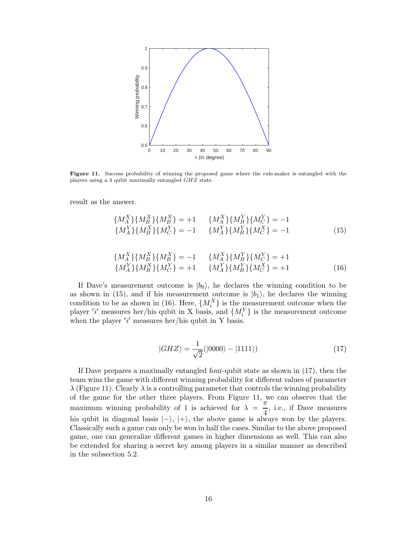

Figure 11. Success probability of winning the proposed game where the rule-maker is entangled with the players using a 4 qubit maximally entangled GHZ state

result as the answer.

$$
\{M_A^X\}\{M_B^X\}\{M_B^X\} = +1 \qquad \{M_A^X\}\{M_B^Y\}\{M_C^Y\} = -1\n\{M_A^Y\}\{M_B^X\}\{M_C^Y\} = -1 \qquad \{M_A^Y\}\{M_B^Y\}\{M_C^X\} = -1
$$
\n(15)

$$
\{M_A^X\}\{M_B^X\}\{M_B^X\} = -1 \qquad \{M_A^X\}\{M_B^Y\}\{M_C^Y\} = +1\n\{M_A^Y\}\{M_B^X\}\{M_C^Y\} = +1 \qquad \{M_A^Y\}\{M_B^Y\}\{M_C^X\} = +1
$$
\n(16)

If Dave's measurement outcome is  $|b_0\rangle$ , he declares the winning condition to be as shown in (15), and if his measurement outcome is  $|b_1\rangle$ , he declares the winning condition to be as shown in (16). Here,  $\{M_i^X\}$  is the measurement outcome when the player 'i' measures her/his qubit in X basis, and  $\{M_i^Y\}$  is the measurement outcome when the player  $'i'$  measures her/his qubit in Y basis.

$$
|GHZ\rangle = \frac{1}{\sqrt{2}}(|0000\rangle - |1111\rangle)
$$
\n(17)

If Dave prepares a maximally entangled four-qubit state as shown in (17), then the team wins the game with different winning probability for different values of parameter  $\lambda$  (Figure 11). Clearly  $\lambda$  is a controlling parameter that controls the winning probability of the game for the other three players. From Figure 11, we can observe that the maximum winning probability of 1 is achieved for  $\lambda = \frac{\pi}{4}$  $\frac{\pi}{4}$ , i.e., if Dave measures his qubit in diagonal basis  $|-\rangle$ ,  $|+\rangle$ , the above game is always won by the players. Classically such a game can only be won in half the cases. Similar to the above proposed game, one can generalize different games in higher dimensions as well. This can also be extended for sharing a secret key among players in a similar manner as described in the subsection 5.2.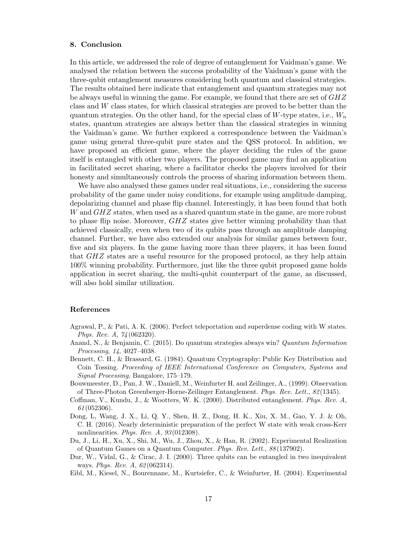### 8. Conclusion

In this article, we addressed the role of degree of entanglement for Vaidman's game. We analysed the relation between the success probability of the Vaidman's game with the three-qubit entanglement measures considering both quantum and classical strategies. The results obtained here indicate that entanglement and quantum strategies may not be always useful in winning the game. For example, we found that there are set of GHZ class and W class states, for which classical strategies are proved to be better than the quantum strategies. On the other hand, for the special class of W-type states, i.e.,  $W_n$ states, quantum strategies are always better than the classical strategies in winning the Vaidman's game. We further explored a correspondence between the Vaidman's game using general three-qubit pure states and the QSS protocol. In addition, we have proposed an efficient game, where the player deciding the rules of the game itself is entangled with other two players. The proposed game may find an application in facilitated secret sharing, where a facilitator checks the players involved for their honesty and simultaneously controls the process of sharing information between them.

We have also analysed these games under real situations, i.e., considering the success probability of the game under noisy conditions, for example using amplitude damping, depolarizing channel and phase flip channel. Interestingly, it has been found that both W and GHZ states, when used as a shared quantum state in the game, are more robust to phase flip noise. Moreover,  $GHZ$  states give better winning probability than that achieved classically, even when two of its qubits pass through an amplitude damping channel. Further, we have also extended our analysis for similar games between four, five and six players. In the game having more than three players, it has been found that GHZ states are a useful resource for the proposed protocol, as they help attain 100% winning probability. Furthermore, just like the three qubit proposed game holds application in secret sharing, the multi-qubit counterpart of the game, as discussed, will also hold similar utilization.

### References

- Agrawal, P., & Pati, A. K. (2006). Perfect teleportation and superdense coding with W states. Phys. Rev. A, 74(062320).
- Anand, N., & Benjamin, C. (2015). Do quantum strategies always win? Quantum Information Processing, 14, 4027–4038.
- Bennett, C. H., & Brassard, G. (1984). Quantum Cryptography: Public Key Distribution and Coin Tossing. Proceeding of IEEE International Conference on Computers, Systems and Signal Processing, Bangalore, 175–179.
- Bouwmeester, D., Pan, J. W., Daniell, M., Weinfurter H. and Zeilinger, A., (1999). Observation of Three-Photon Greenberger-Horne-Zeilinger Entanglement. Phys. Rev. Lett., 82(1345).
- Coffman, V., Kundu, J., & Wootters, W. K. (2000). Distributed entanglement. Phys. Rev. A, 61(052306).
- Dong, L, Wang, J. X., Li, Q. Y., Shen, H. Z., Dong, H. K., Xiu, X. M., Gao, Y. J. & Oh, C. H. (2016). Nearly deterministic preparation of the perfect W state with weak cross-Kerr nonlinearities. Phys. Rev. A,  $93(012308)$ .
- Du, J., Li, H., Xu, X., Shi, M., Wu, J., Zhou, X., & Han, R. (2002). Experimental Realization of Quantum Games on a Quantum Computer. Phys. Rev. Lett., 88(137902).
- Dur, W., Vidal, G., & Cirac, J. I. (2000). Three qubits can be entangled in two inequivalent ways. Phys. Rev. A, 62(062314).
- Eibl, M., Kiesel, N., Bourennane, M., Kurtsiefer, C., & Weinfurter, H. (2004). Experimental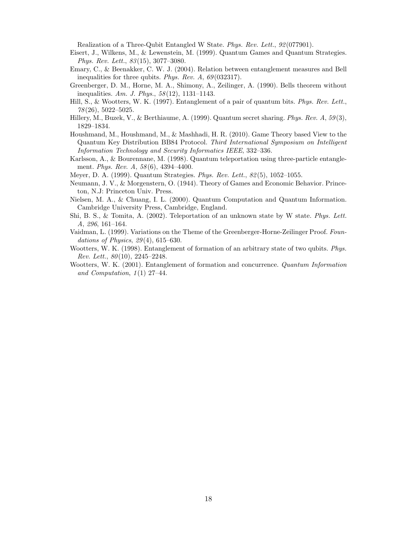Realization of a Three-Qubit Entangled W State. Phys. Rev. Lett., 92(077901).

- Eisert, J., Wilkens, M., & Lewenstein, M. (1999). Quantum Games and Quantum Strategies. Phys. Rev. Lett., 83(15), 3077–3080.
- Emary, C., & Beenakker, C. W. J. (2004). Relation between entanglement measures and Bell inequalities for three qubits. Phys. Rev. A, 69(032317).
- Greenberger, D. M., Horne, M. A., Shimony, A., Zeilinger, A. (1990). Bells theorem without inequalities. Am. J. Phys., 58(12), 1131–1143.
- Hill, S., & Wootters, W. K. (1997). Entanglement of a pair of quantum bits. Phys. Rev. Lett.,  $78(26)$ , 5022–5025.
- Hillery, M., Buzek, V., & Berthiaume, A. (1999). Quantum secret sharing. Phys. Rev. A, 59(3), 1829–1834.
- Houshmand, M., Houshmand, M., & Mashhadi, H. R. (2010). Game Theory based View to the Quantum Key Distribution BB84 Protocol. Third International Symposium on Intelligent Information Technology and Security Informatics IEEE, 332–336.
- Karlsson, A., & Bourennane, M. (1998). Quantum teleportation using three-particle entanglement. Phys. Rev. A, 58(6), 4394–4400.
- Meyer, D. A. (1999). Quantum Strategies. Phys. Rev. Lett., 82(5), 1052–1055.
- Neumann, J. V., & Morgenstern, O. (1944). Theory of Games and Economic Behavior. Princeton, N.J: Princeton Univ. Press.
- Nielsen, M. A., & Chuang, I. L. (2000). Quantum Computation and Quantum Information. Cambridge University Press, Cambridge, England.
- Shi, B. S., & Tomita, A. (2002). Teleportation of an unknown state by W state. Phys. Lett. A, 296, 161–164.
- Vaidman, L. (1999). Variations on the Theme of the Greenberger-Horne-Zeilinger Proof. Foundations of Physics, 29(4), 615–630.
- Wootters, W. K. (1998). Entanglement of formation of an arbitrary state of two qubits. Phys. Rev. Lett.,  $80(10)$ ,  $2245-2248$ .
- Wootters, W. K. (2001). Entanglement of formation and concurrence. Quantum Information and Computation,  $1(1)$  27-44.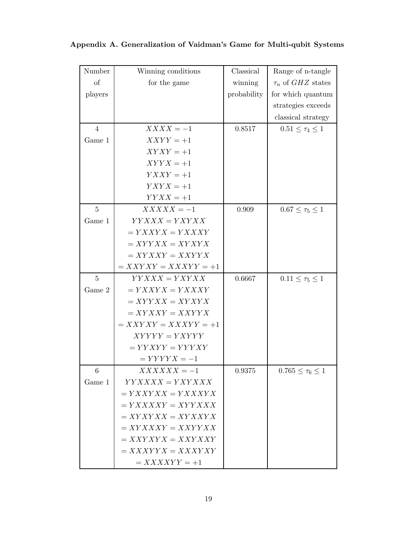| Number         | Winning conditions     | Classical   | Range of n-tangle          |
|----------------|------------------------|-------------|----------------------------|
| of             | for the game           | winning     | $\tau_n$ of GHZ states     |
| players        |                        | probability | for which quantum          |
|                |                        |             | strategies exceeds         |
|                |                        |             | classical strategy         |
| $\overline{4}$ | $XXXX = -1$            | 0.8517      | $0.51 \leq \tau_4 \leq 1$  |
| Game 1         | $XXYY = +1$            |             |                            |
|                | $XYXY = +1$            |             |                            |
|                | $XYYX = +1$            |             |                            |
|                | $YXXY = +1$            |             |                            |
|                | $YXYX = +1$            |             |                            |
|                | $YYXX = +1$            |             |                            |
| 5              | $XXXX = -1$            | 0.909       | $0.67 \leq \tau_5 \leq 1$  |
| Game 1         | $YYXXX = YXYXX$        |             |                            |
|                | $= YXXYX = YXXXY$      |             |                            |
|                | $= XYYXX = XYXYX$      |             |                            |
|                | $= XYXXY = XXYYX$      |             |                            |
|                | $= XXYXY = XXXYY = +1$ |             |                            |
| $\overline{5}$ | $YYXXX = YXYXX$        | 0.6667      | $0.11 \leq \tau_5 \leq 1$  |
| Game 2         | $= YXXYX = YXXXY$      |             |                            |
|                | $= XYYXX = XYXYX$      |             |                            |
|                | $= XYXXY = XXYYX$      |             |                            |
|                | $= XXYXY = XXXYY = +1$ |             |                            |
|                | $XYYYY = YXYYY$        |             |                            |
|                | $=YYXYY = YYYXY$       |             |                            |
|                | $=YYYYX=-1$            |             |                            |
| $\,6$          | $XXXXX = -1$           | 0.9375      | $0.765 \leq \tau_6 \leq 1$ |
| Game 1         | $YYXXXX = YXYXXX$      |             |                            |
|                | $= YXXYXX = YXXXYX$    |             |                            |
|                | $= YXXXXY = XYYXXX$    |             |                            |
|                | $= XYXYXX = XYXXYX$    |             |                            |
|                | $= XYXXXY = XXYYXX$    |             |                            |
|                | $= XXYXYX = XXYXXY$    |             |                            |
|                | $= XXXYYX = XXXYXY$    |             |                            |
|                | $= XXXXYY = +1$        |             |                            |

Appendix A. Generalization of Vaidman's Game for Multi-qubit Systems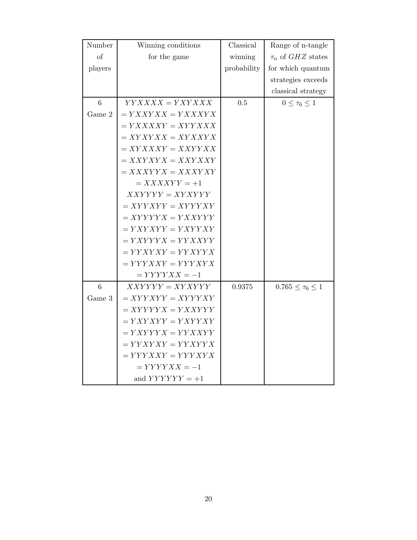| Number        | Winning conditions   | Classical    | Range of n-tangle          |
|---------------|----------------------|--------------|----------------------------|
| <sub>of</sub> | for the game         | winning      | $\tau_n$ of GHZ states     |
| players       |                      | probability  | for which quantum          |
|               |                      |              | strategies exceeds         |
|               |                      |              | classical strategy         |
| 6             | $YYXXXX = YXYXXX$    | 0.5          | $0 \leq \tau_6 \leq 1$     |
| Game 2        | $= YXXYXX = YXXXYX$  |              |                            |
|               | $= YXXXXY = XYYXXX$  |              |                            |
|               | $= XYXYXX = XYXXYX$  |              |                            |
|               | $= XYXXXY = XXYYXX$  |              |                            |
|               | $= XXYXYX = XXYXXY$  |              |                            |
|               | $= XXXYYX = XXXYXY$  |              |                            |
|               | $= XXXXYY = +1$      |              |                            |
|               | $XXYYYY = XYXYYY$    |              |                            |
|               | $= XYYXYY = XYYYXY$  |              |                            |
|               | $= XYYYYX = YXXYYY$  |              |                            |
|               | $= YXYXYY = YXYYXYY$ |              |                            |
|               | $= YXYYYX = YYXXYY$  |              |                            |
|               | $=YYXYXY = YYXYYX$   |              |                            |
|               | $=YYYXXY = YYYXYX$   |              |                            |
|               | $=YYYYXX = -1$       |              |                            |
| 6             | $XXYYYY = XYXYYY$    | $\,0.9375\,$ | $0.765 \leq \tau_6 \leq 1$ |
| Game 3        | $= XYYXYY = XYYYXY$  |              |                            |
|               | $= XYYYYX = YXXYYY$  |              |                            |
|               | $= YXYXYY = YXYYXYY$ |              |                            |
|               | $= YXYYYX = YYXXYY$  |              |                            |
|               | $=YYXYXY = YYXYYX$   |              |                            |
|               | $=YYYXXY = YYYXYX$   |              |                            |
|               | $=YYYYXX = -1$       |              |                            |
|               | and $YYYYYYY = +1$   |              |                            |